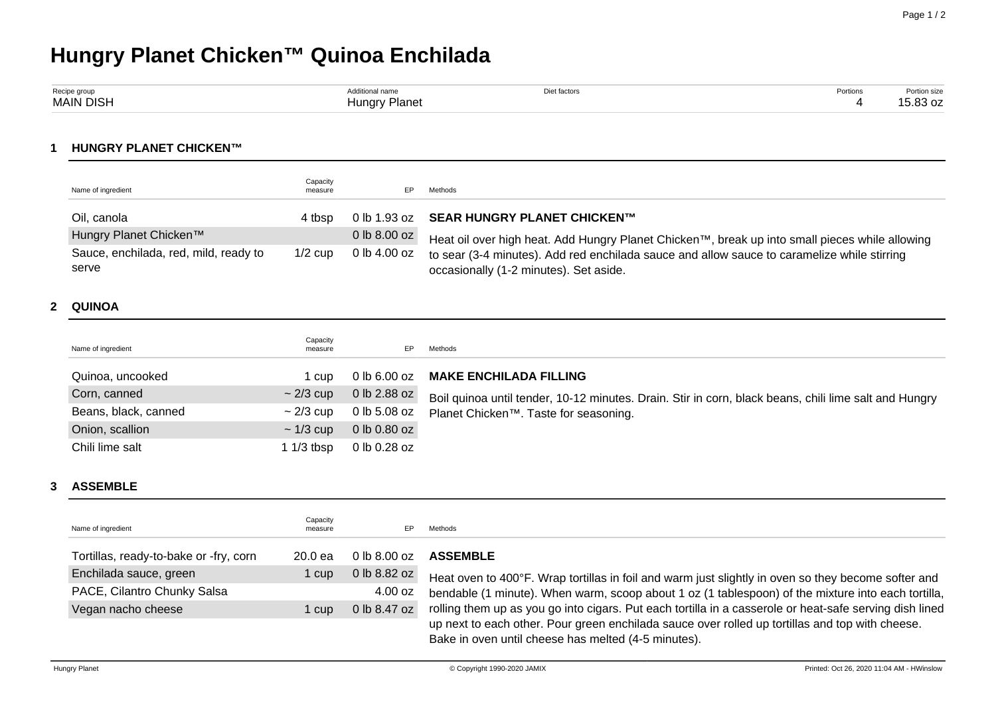# **Hungry Planet Chicken™ Quinoa Enchilada**

| Recipe group     | tional name                                   | Diet factors | Portions | Portion size             |
|------------------|-----------------------------------------------|--------------|----------|--------------------------|
| <b>MAIN DISH</b> | Planet<br>narv<br>$\sim$ $\sim$ $\sim$ $\sim$ |              |          | $\sim$ 00<br>$5.83O$ $Z$ |

## **1 HUNGRY PLANET CHICKEN™**

| Name of ingredient                             | Capacity<br>measure |                  | Methods                                                                                                                               |
|------------------------------------------------|---------------------|------------------|---------------------------------------------------------------------------------------------------------------------------------------|
| Oil, canola                                    | 4 tbsp              |                  | 0 lb 1.93 oz SEAR HUNGRY PLANET CHICKEN™                                                                                              |
| Hungry Planet Chicken™                         |                     | $0$ lb $8.00$ oz | Heat oil over high heat. Add Hungry Planet Chicken™, break up into small pieces while allowing                                        |
| Sauce, enchilada, red, mild, ready to<br>serve | $1/2$ cup           | 0 lb 4.00 oz     | to sear (3-4 minutes). Add red enchilada sauce and allow sauce to caramelize while stirring<br>occasionally (1-2 minutes). Set aside. |

#### **2 QUINOA**

| Name of ingredient   | Capacity<br>measure | EP           | Methods                                                                                               |
|----------------------|---------------------|--------------|-------------------------------------------------------------------------------------------------------|
| Quinoa, uncooked     | 1 cup               | 0 lb 6.00 oz | <b>MAKE ENCHILADA FILLING</b>                                                                         |
| Corn, canned         | $\sim$ 2/3 cup      | 0 lb 2.88 oz | Boil quinoa until tender, 10-12 minutes. Drain. Stir in corn, black beans, chili lime salt and Hungry |
| Beans, black, canned | $\sim$ 2/3 cup      | 0 lb 5.08 oz | Planet Chicken <sup>™</sup> . Taste for seasoning.                                                    |
| Onion, scallion      | $\sim$ 1/3 cup      | 0 lb 0.80 oz |                                                                                                       |
| Chili lime salt      | 1 1/3 tbsp          | 0 lb 0.28 oz |                                                                                                       |

# **3 ASSEMBLE**

| Name of ingredient                     | Capacity<br>measure | EP.               | Methods                                                                                                                                                |
|----------------------------------------|---------------------|-------------------|--------------------------------------------------------------------------------------------------------------------------------------------------------|
| Tortillas, ready-to-bake or -fry, corn | 20.0 <sub>ea</sub>  | $0 \,$ lb 8.00 oz | <b>ASSEMBLE</b>                                                                                                                                        |
| Enchilada sauce, green                 | 1 cup               | 0 lb 8.82 oz      | Heat oven to 400°F. Wrap tortillas in foil and warm just slightly in oven so they become softer and                                                    |
| PACE, Cilantro Chunky Salsa            |                     | 4.00 oz           | bendable (1 minute). When warm, scoop about 1 oz (1 tablespoon) of the mixture into each tortilla,                                                     |
| Vegan nacho cheese                     | 1 cup               | 0 lb 8.47 oz      | rolling them up as you go into cigars. Put each tortilla in a casserole or heat-safe serving dish lined                                                |
|                                        |                     |                   | up next to each other. Pour green enchilada sauce over rolled up tortillas and top with cheese.<br>Bake in oven until cheese has melted (4-5 minutes). |